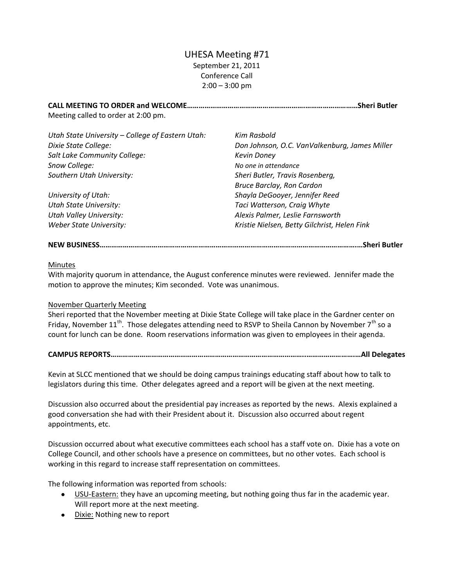# UHESA Meeting #71 September 21, 2011 Conference Call  $2:00 - 3:00$  pm

**CALL MEETING TO ORDER and WELCOME…………………………………………………….………………………Sheri Butler** Meeting called to order at 2:00 pm.

| Utah State University - College of Eastern Utah: | Kim Rasbold                                   |
|--------------------------------------------------|-----------------------------------------------|
| Dixie State College:                             | Don Johnson, O.C. VanValkenburg, James Miller |
| Salt Lake Community College:                     | <b>Kevin Doney</b>                            |
| Snow College:                                    | No one in attendance                          |
| Southern Utah University:                        | Sheri Butler, Travis Rosenberg,               |
|                                                  | <b>Bruce Barclay, Ron Cardon</b>              |
| University of Utah:                              | Shayla DeGooyer, Jennifer Reed                |
| <b>Utah State University:</b>                    | Taci Watterson, Craig Whyte                   |
| <b>Utah Valley University:</b>                   | Alexis Palmer, Leslie Farnsworth              |
| Weber State University:                          | Kristie Nielsen, Betty Gilchrist, Helen Fink  |
|                                                  |                                               |

# **NEW BUSINESS…………………………………………………………………………………………………………………….…Sheri Butler**

### Minutes

With majority quorum in attendance, the August conference minutes were reviewed. Jennifer made the motion to approve the minutes; Kim seconded. Vote was unanimous.

# November Quarterly Meeting

Sheri reported that the November meeting at Dixie State College will take place in the Gardner center on Friday, November 11<sup>th</sup>. Those delegates attending need to RSVP to Sheila Cannon by November 7<sup>th</sup> so a count for lunch can be done. Room reservations information was given to employees in their agenda.

# **CAMPUS REPORTS………………………………………………………………………………………..…………………….…All Delegates**

Kevin at SLCC mentioned that we should be doing campus trainings educating staff about how to talk to legislators during this time. Other delegates agreed and a report will be given at the next meeting.

Discussion also occurred about the presidential pay increases as reported by the news. Alexis explained a good conversation she had with their President about it. Discussion also occurred about regent appointments, etc.

Discussion occurred about what executive committees each school has a staff vote on. Dixie has a vote on College Council, and other schools have a presence on committees, but no other votes. Each school is working in this regard to increase staff representation on committees.

The following information was reported from schools:

- USU-Eastern: they have an upcoming meeting, but nothing going thus far in the academic year. Will report more at the next meeting.
- Dixie: Nothing new to report